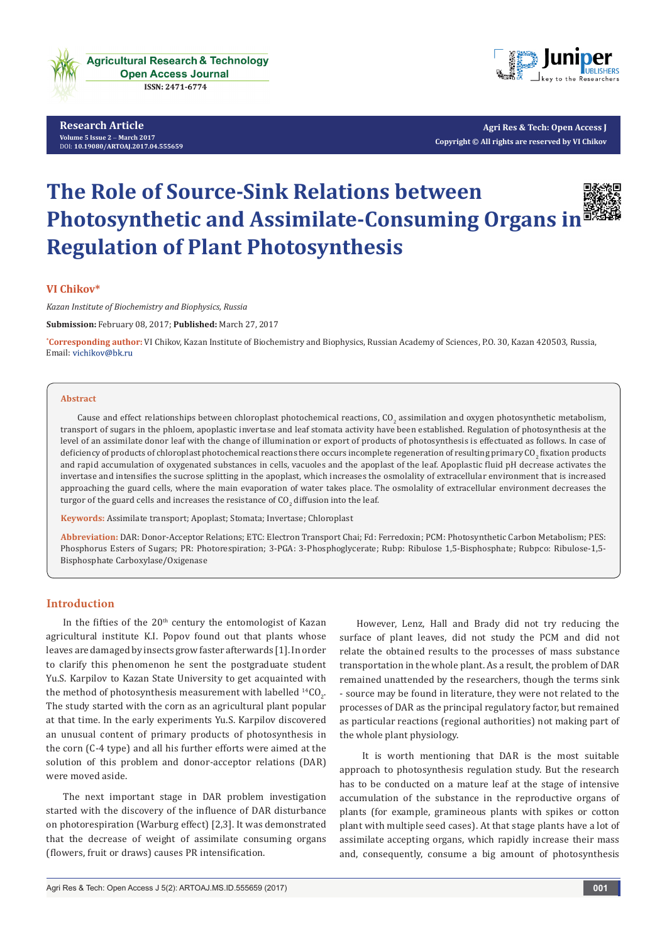

**Research Article Volume 5 Issue 2** - **March 2017** [D](http://dx.doi.org/10.19080/artoaj.2017.05.555657)OI: **[10.19080/ARTOAJ.2017.04.555659](http://dx.doi.org/10.19080/artoaj.2017.04.555659
)**



**Agri Res & Tech: Open Access J Copyright © All rights are reserved by VI Chikov**

# **The Role of Source-Sink Relations between Photosynthetic and Assimilate-Consuming Organs in Regulation of Plant Photosynthesis**

**VI Chikov\***

*Kazan Institute of Biochemistry and Biophysics, Russia*

**Submission:** February 08, 2017; **Published:** March 27, 2017

**\* Corresponding author:** VI Chikov, Kazan Institute of Biochemistry and Biophysics, Russian Academy of Sciences, P.O. 30, Kazan 420503, Russia, Email: vichikov@bk.ru

#### **Abstract**

Cause and effect relationships between chloroplast photochemical reactions, CO<sub>2</sub> assimilation and oxygen photosynthetic metabolism, transport of sugars in the phloem, apoplastic invertase and leaf stomata activity have been established. Regulation of photosynthesis at the level of an assimilate donor leaf with the change of illumination or export of products of photosynthesis is effectuated as follows. In case of deficiency of products of chloroplast photochemical reactions there occurs incomplete regeneration of resulting primary CO<sub>2</sub> fixation products and rapid accumulation of oxygenated substances in cells, vacuoles and the apoplast of the leaf. Apoplastic fluid pH decrease activates the invertase and intensifies the sucrose splitting in the apoplast, which increases the osmolality of extracellular environment that is increased approaching the guard cells, where the main evaporation of water takes place. The osmolality of extracellular environment decreases the turgor of the guard cells and increases the resistance of CO $_2$  diffusion into the leaf.

**Keywords:** Assimilate transport; Apoplast; Stomata; Invertase; Chloroplast

**Abbreviation:** DAR: Donor-Acceptor Relations; ETC: Electron Transport Chai; Fd: Ferredoxin; PCM: Photosynthetic Carbon Metabolism; PES: Phosphorus Esters of Sugars; PR: Photorespiration; 3-PGA: 3-Phosphoglycerate; Rubp: Ribulose 1,5-Bisphosphate; Rubpco: Ribulose-1,5- Bisphosphate Carboxylase/Oxigenase

## **Introduction**

In the fifties of the  $20<sup>th</sup>$  century the entomologist of Kazan agricultural institute K.I. Popov found out that plants whose leaves are damaged by insects grow faster afterwards [1]. In order to clarify this phenomenon he sent the postgraduate student Yu.S. Karpilov to Kazan State University to get acquainted with the method of photosynthesis measurement with labelled  $^{14} \text{CO}_2$ . The study started with the corn as an agricultural plant popular at that time. In the early experiments Yu.S. Karpilov discovered an unusual content of primary products of photosynthesis in the corn (C-4 type) and all his further efforts were aimed at the solution of this problem and donor-acceptor relations (DAR) were moved aside.

The next important stage in DAR problem investigation started with the discovery of the influence of DAR disturbance on photorespiration (Warburg effect) [2,3]. It was demonstrated that the decrease of weight of assimilate consuming organs (flowers, fruit or draws) causes PR intensification.

However, Lenz, Hall and Brady did not try reducing the surface of plant leaves, did not study the PCM and did not relate the obtained results to the processes of mass substance transportation in the whole plant. As a result, the problem of DAR remained unattended by the researchers, though the terms sink - source may be found in literature, they were not related to the processes of DAR as the principal regulatory factor, but remained as particular reactions (regional authorities) not making part of the whole plant physiology.

 It is worth mentioning that DAR is the most suitable approach to photosynthesis regulation study. But the research has to be conducted on a mature leaf at the stage of intensive accumulation of the substance in the reproductive organs of plants (for example, gramineous plants with spikes or cotton plant with multiple seed cases). At that stage plants have a lot of assimilate accepting organs, which rapidly increase their mass and, consequently, consume a big amount of photosynthesis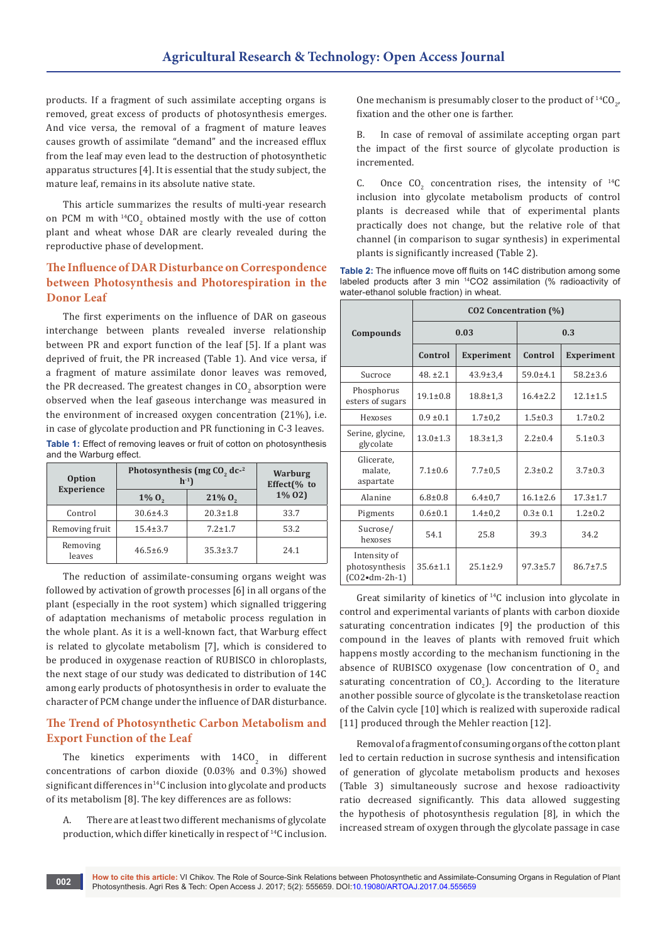products. If a fragment of such assimilate accepting organs is removed, great excess of products of photosynthesis emerges. And vice versa, the removal of a fragment of mature leaves causes growth of assimilate "demand" and the increased efflux from the leaf may even lead to the destruction of photosynthetic apparatus structures [4]. It is essential that the study subject, the mature leaf, remains in its absolute native state.

This article summarizes the results of multi-year research on PCM m with  $^{14}CO_2$  obtained mostly with the use of cotton plant and wheat whose DAR are clearly revealed during the reproductive phase of development.

# **The Influence of DAR Disturbance on Correspondence between Photosynthesis and Photorespiration in the Donor Leaf**

The first experiments on the influence of DAR on gaseous interchange between plants revealed inverse relationship between PR and export function of the leaf [5]. If a plant was deprived of fruit, the PR increased (Table 1). And vice versa, if a fragment of mature assimilate donor leaves was removed, the PR decreased. The greatest changes in CO<sub>2</sub> absorption were observed when the leaf gaseous interchange was measured in the environment of increased oxygen concentration (21%), i.e. in case of glycolate production and PR functioning in C-3 leaves. **Table 1:** Effect of removing leaves or fruit of cotton on photosynthesis and the Warburg effect.

| <b>Option</b>      | Photosynthesis (mg $CO$ , dc- <sup>2</sup><br>$h^{-1}$ | <b>Warburg</b><br>Effect(% to |          |
|--------------------|--------------------------------------------------------|-------------------------------|----------|
| <b>Experience</b>  | $1\% 0,$                                               | $21\% 0,$                     | $1\% 02$ |
| Control            | $30.6 \pm 4.3$                                         | $20.3 \pm 1.8$                | 33.7     |
| Removing fruit     | $15.4 \pm 3.7$                                         | $7.2 + 1.7$                   | 53.2     |
| Removing<br>leaves | $46.5 \pm 6.9$                                         | $35.3 \pm 3.7$                | 24.1     |

The reduction of assimilate-consuming organs weight was followed by activation of growth processes [6] in all organs of the plant (especially in the root system) which signalled triggering of adaptation mechanisms of metabolic process regulation in the whole plant. As it is a well-known fact, that Warburg effect is related to glycolate metabolism [7], which is considered to be produced in oxygenase reaction of RUBISCO in chloroplasts, the next stage of our study was dedicated to distribution of 14С among early products of photosynthesis in order to evaluate the character of PCM change under the influence of DAR disturbance.

# **The Trend of Photosynthetic Carbon Metabolism and Export Function of the Leaf**

The kinetics experiments with  $14CO<sub>2</sub>$  in different concentrations of carbon dioxide (0.03% and 0.3%) showed significant differences in<sup>14</sup>C inclusion into glycolate and products of its metabolism [8]. The key differences are as follows:

A. There are at least two different mechanisms of glycolate production, which differ kinetically in respect of <sup>14</sup>C inclusion.

One mechanism is presumably closer to the product of  ${}^{14}CO_{2}$ , fixation and the other one is farther.

B. In case of removal of assimilate accepting organ part the impact of the first source of glycolate production is incremented.

C. Once  $CO_2$  concentration rises, the intensity of  $^{14}C$ inclusion into glycolate metabolism products of control plants is decreased while that of experimental plants practically does not change, but the relative role of that channel (in comparison to sugar synthesis) in experimental plants is significantly increased (Table 2).

|                                           |  |  | <b>Table 2:</b> The influence move off fluits on 14C distribution among some    |  |
|-------------------------------------------|--|--|---------------------------------------------------------------------------------|--|
|                                           |  |  | labeled products after 3 min <sup>14</sup> CO2 assimilation (% radioactivity of |  |
| water-ethanol soluble fraction) in wheat. |  |  |                                                                                 |  |

|                                                             | CO2 Concentration (%)        |                |                              |                |  |  |  |
|-------------------------------------------------------------|------------------------------|----------------|------------------------------|----------------|--|--|--|
| Compounds                                                   |                              | 0.03           | 0.3                          |                |  |  |  |
|                                                             | Control<br><b>Experiment</b> |                | Control<br><b>Experiment</b> |                |  |  |  |
| Sucroce                                                     | $48. \pm 2.1$                | $43.9 \pm 3.4$ | $59.0 + 4.1$                 | $58.2 \pm 3.6$ |  |  |  |
| Phosphorus<br>esters of sugars                              | $19.1 \pm 0.8$               | $18.8 \pm 1.3$ | $16.4 \pm 2.2$               | $12.1 \pm 1.5$ |  |  |  |
| Hexoses                                                     | $0.9 \pm 0.1$                | $1.7 \pm 0.2$  | $1.5 \pm 0.3$                | $1.7 \pm 0.2$  |  |  |  |
| Serine, glycine,<br>glycolate                               | $13.0 \pm 1.3$               | $18.3 \pm 1.3$ | $2.2 \pm 0.4$                | $5.1 \pm 0.3$  |  |  |  |
| Glicerate.<br>malate,<br>aspartate                          | $7.1 \pm 0.6$                | $7.7 \pm 0.5$  | $2.3 \pm 0.2$                | $3.7 \pm 0.3$  |  |  |  |
| Alanine                                                     | $6.8 \pm 0.8$                | $6.4 \pm 0.7$  | $16.1 \pm 2.6$               | $17.3 \pm 1.7$ |  |  |  |
| Pigments                                                    | $0.6 \pm 0.1$                | $1.4 \pm 0.2$  | $0.3 \pm 0.1$                | $1.2 \pm 0.2$  |  |  |  |
| Sucrose/<br>hexoses                                         | 54.1                         | 25.8           | 39.3                         | 34.2           |  |  |  |
| Intensity of<br>photosynthesis<br>$(CO2 \cdot dm - 2h - 1)$ | $35.6 \pm 1.1$               | $25.1 \pm 2.9$ | $97.3 \pm 5.7$               | $86.7 \pm 7.5$ |  |  |  |

Great similarity of kinetics of  $14C$  inclusion into glycolate in control and experimental variants of plants with carbon dioxide saturating concentration indicates [9] the production of this compound in the leaves of plants with removed fruit which happens mostly according to the mechanism functioning in the absence of RUBISCO oxygenase (low concentration of  $O_2$  and saturating concentration of  $\text{CO}_2$ ). According to the literature another possible source of glycolate is the transketolase reaction of the Calvin cycle [10] which is realized with superoxide radical [11] produced through the Mehler reaction [12].

Removal of a fragment of consuming organs of the cotton plant led to certain reduction in sucrose synthesis and intensification of generation of glycolate metabolism products and hexoses (Table 3) simultaneously sucrose and hexose radioactivity ratio decreased significantly. This data allowed suggesting the hypothesis of photosynthesis regulation [8], in which the increased stream of oxygen through the glycolate passage in case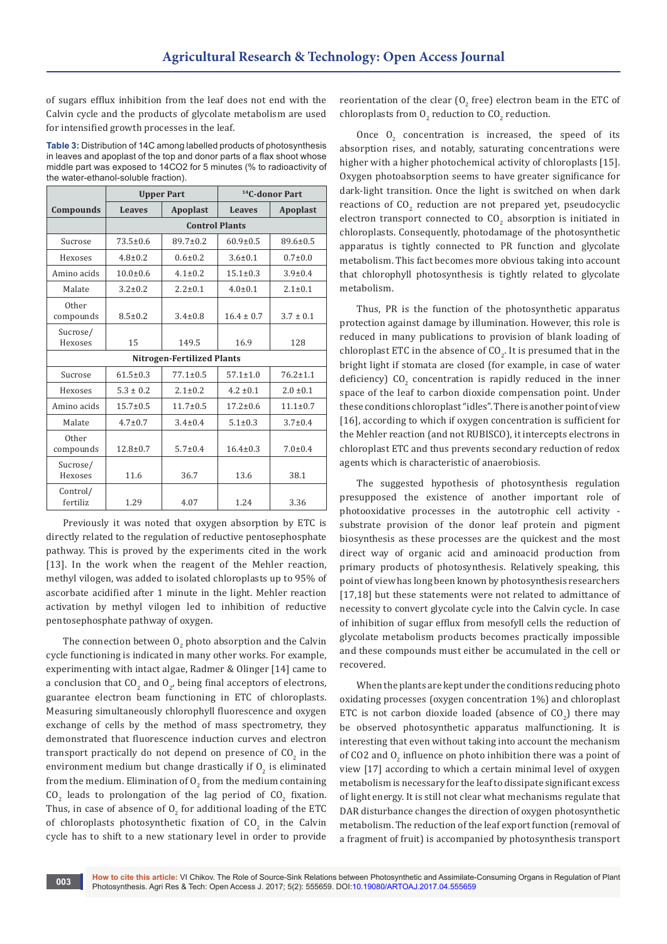of sugars efflux inhibition from the leaf does not end with the Calvin cycle and the products of glycolate metabolism are used for intensified growth processes in the leaf.

**Table 3:** Distribution of 14С among labelled products of photosynthesis in leaves and apoplast of the top and donor parts of a flax shoot whose middle part was exposed to 14СО2 for 5 minutes (% to radioactivity of the water-ethanol-soluble fraction).

|                      |                | <b>Upper Part</b>                 | <sup>14</sup> C-donor Part |                |  |
|----------------------|----------------|-----------------------------------|----------------------------|----------------|--|
| Compounds            | <b>Leaves</b>  | <b>Apoplast</b>                   | <b>Leaves</b>              | Apoplast       |  |
|                      |                | <b>Control Plants</b>             |                            |                |  |
| Sucrose              | $73.5 \pm 0.6$ | $89.7 \pm 0.2$                    | $60.9 \pm 0.5$             | $89.6 \pm 0.5$ |  |
| Hexoses              | $4.8 \pm 0.2$  | $0.6 \pm 0.2$                     | $3.6 \pm 0.1$              | $0.7 \pm 0.0$  |  |
| Amino acids          | $10.0 \pm 0.6$ | $4.1 \pm 0.2$                     | $15.1 \pm 0.3$             | $3.9 \pm 0.4$  |  |
| Malate               | $3.2 \pm 0.2$  | $2.2 \pm 0.1$                     | $4.0 \pm 0.1$              | $2.1 \pm 0.1$  |  |
| Other<br>compounds   | $8.5 \pm 0.2$  | $3.4 \pm 0.8$                     | $16.4 \pm 0.7$             | $3.7 \pm 0.1$  |  |
| Sucrose/<br>Hexoses  | 15             | 149.5                             | 16.9                       | 128            |  |
|                      |                | <b>Nitrogen-Fertilized Plants</b> |                            |                |  |
| Sucrose              | $61.5 \pm 0.3$ | $77.1 \pm 0.5$                    | $57.1 \pm 1.0$             | $76.2 \pm 1.1$ |  |
| Hexoses              | $5.3 \pm 0.2$  | $2.1 \pm 0.2$                     | $4.2 \pm 0.1$              | $2.0 \pm 0.1$  |  |
| Amino acids          | $15.7 \pm 0.5$ | $11.7 \pm 0.5$                    | $17.2 \pm 0.6$             | $11.1 \pm 0.7$ |  |
| Malate               | $4.7 \pm 0.7$  | $3.4 \pm 0.4$                     | $5.1 \pm 0.3$              | $3.7 \pm 0.4$  |  |
| Other<br>compounds   | $12.8 \pm 0.7$ | $5.7 \pm 0.4$                     | $16.4 \pm 0.3$             | $7.0 \pm 0.4$  |  |
| Sucrose/<br>Hexoses  | 11.6           | 36.7                              | 13.6                       | 38.1           |  |
| Control/<br>fertiliz | 1.29           | 4.07                              | 1.24                       | 3.36           |  |

Previously it was noted that oxygen absorption by ETC is directly related to the regulation of reductive pentosephosphate pathway. This is proved by the experiments cited in the work [13]. In the work when the reagent of the Mehler reaction, methyl vilogen, was added to isolated chloroplasts up to 95% of ascorbate acidified after 1 minute in the light. Mehler reaction activation by methyl vilogen led to inhibition of reductive pentosephosphate pathway of oxygen.

The connection between  $0_{2}$  photo absorption and the Calvin cycle functioning is indicated in many other works. For example, experimenting with intact algae, Radmer & Olinger [14] came to a conclusion that  $\mathsf{CO}_2$  and  $\mathsf{O}_{2'}$  being final acceptors of electrons, guarantee electron beam functioning in ETC of chloroplasts. Measuring simultaneously chlorophyll fluorescence and oxygen exchange of cells by the method of mass spectrometry, they demonstrated that fluorescence induction curves and electron transport practically do not depend on presence of  $\rm CO_2$  in the environment medium but change drastically if  $O_2$  is eliminated from the medium. Elimination of  $O_{2}$  from the medium containing  $CO<sub>2</sub>$  leads to prolongation of the lag period of  $CO<sub>2</sub>$  fixation. Thus, in case of absence of  $O_2$  for additional loading of the ETC of chloroplasts photosynthetic fixation of  $CO_2$  in the Calvin cycle has to shift to a new stationary level in order to provide

reorientation of the clear (O<sub>2</sub> free) electron beam in the ETC of chloroplasts from  $O_2$  reduction to  $\mathsf{CO}_2$  reduction.

Once  $O_2$  concentration is increased, the speed of its absorption rises, and notably, saturating concentrations were higher with a higher photochemical activity of chloroplasts [15]. Oxygen photoabsorption seems to have greater significance for dark-light transition. Once the light is switched on when dark reactions of  $CO_2$  reduction are not prepared yet, pseudocyclic electron transport connected to  $CO_2$  absorption is initiated in chloroplasts. Consequently, photodamage of the photosynthetic apparatus is tightly connected to PR function and glycolate metabolism. This fact becomes more obvious taking into account that chlorophyll photosynthesis is tightly related to glycolate metabolism.

Thus, PR is the function of the photosynthetic apparatus protection against damage by illumination. However, this role is reduced in many publications to provision of blank loading of chloroplast ETC in the absence of  $\mathfrak{CO}_{2}$ . It is presumed that in the bright light if stomata are closed (for example, in case of water deficiency)  $\mathsf{CO}_{2}$  concentration is rapidly reduced in the inner space of the leaf to carbon dioxide compensation point. Under these conditions chloroplast "idles". There is another point of view [16], according to which if oxygen concentration is sufficient for the Mehler reaction (and not RUBISCO), it intercepts electrons in chloroplast ETC and thus prevents secondary reduction of redox agents which is characteristic of anaerobiosis.

The suggested hypothesis of photosynthesis regulation presupposed the existence of another important role of photooxidative processes in the autotrophic cell activity substrate provision of the donor leaf protein and pigment biosynthesis as these processes are the quickest and the most direct way of organic acid and aminoacid production from primary products of photosynthesis. Relatively speaking, this point of view has long been known by photosynthesis researchers [17,18] but these statements were not related to admittance of necessity to convert glycolate cycle into the Calvin cycle. In case of inhibition of sugar efflux from mesofyll cells the reduction of glycolate metabolism products becomes practically impossible and these compounds must either be accumulated in the cell or recovered.

When the plants are kept under the conditions reducing photo oxidating processes (oxygen concentration 1%) and chloroplast ETC is not carbon dioxide loaded (absence of  $CO_{2}$ ) there may be observed photosynthetic apparatus malfunctioning. It is interesting that even without taking into account the mechanism of CO2 and  $O_2$  influence on photo inhibition there was a point of view [17] according to which a certain minimal level of oxygen metabolism is necessary for the leaf to dissipate significant excess of light energy. It is still not clear what mechanisms regulate that DAR disturbance changes the direction of oxygen photosynthetic metabolism. The reduction of the leaf export function (removal of a fragment of fruit) is accompanied by photosynthesis transport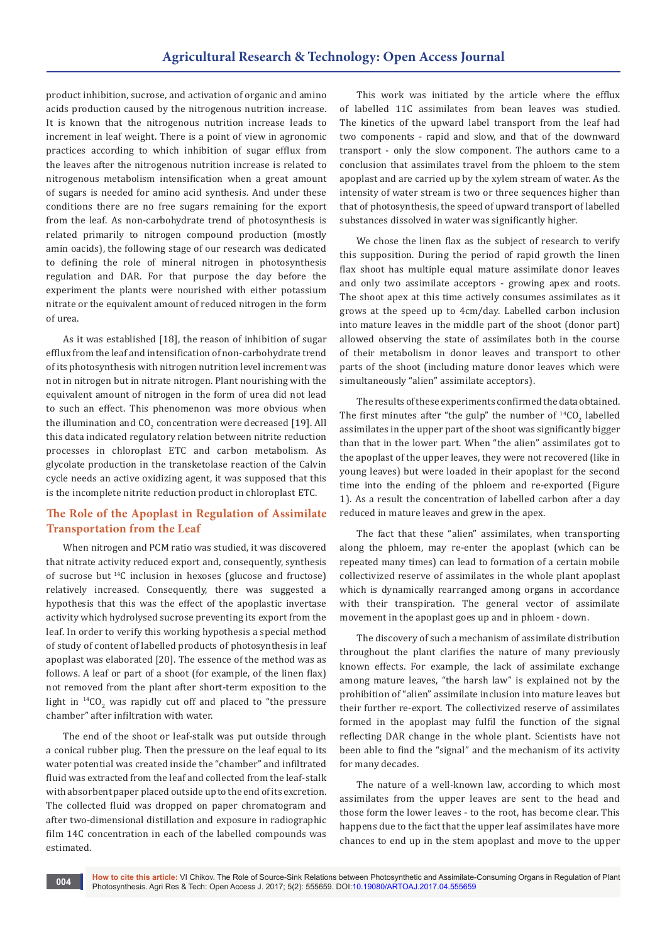product inhibition, sucrose, and activation of organic and amino acids production caused by the nitrogenous nutrition increase. It is known that the nitrogenous nutrition increase leads to increment in leaf weight. There is a point of view in agronomic practices according to which inhibition of sugar efflux from the leaves after the nitrogenous nutrition increase is related to nitrogenous metabolism intensification when a great amount of sugars is needed for amino acid synthesis. And under these conditions there are no free sugars remaining for the export from the leaf. As non-carbohydrate trend of photosynthesis is related primarily to nitrogen compound production (mostly amin oacids), the following stage of our research was dedicated to defining the role of mineral nitrogen in photosynthesis regulation and DAR. For that purpose the day before the experiment the plants were nourished with either potassium nitrate or the equivalent amount of reduced nitrogen in the form of urea.

As it was established [18], the reason of inhibition of sugar efflux from the leaf and intensification of non-carbohydrate trend of its photosynthesis with nitrogen nutrition level increment was not in nitrogen but in nitrate nitrogen. Plant nourishing with the equivalent amount of nitrogen in the form of urea did not lead to such an effect. This phenomenon was more obvious when the illumination and CO<sub>2</sub> concentration were decreased [19]. All this data indicated regulatory relation between nitrite reduction processes in chloroplast ETC and carbon metabolism. As glycolate production in the transketolase reaction of the Calvin cycle needs an active oxidizing agent, it was supposed that this is the incomplete nitrite reduction product in chloroplast ETC.

## **The Role of the Apoplast in Regulation of Assimilate Transportation from the Leaf**

When nitrogen and PCM ratio was studied, it was discovered that nitrate activity reduced export and, consequently, synthesis of sucrose but  $14C$  inclusion in hexoses (glucose and fructose) relatively increased. Consequently, there was suggested a hypothesis that this was the effect of the apoplastic invertase activity which hydrolysed sucrose preventing its export from the leaf. In order to verify this working hypothesis a special method of study of content of labelled products of photosynthesis in leaf apoplast was elaborated [20]. The essence of the method was as follows. A leaf or part of a shoot (for example, of the linen flax) not removed from the plant after short-term exposition to the light in  $^{14}CO_2$  was rapidly cut off and placed to "the pressure chamber" after infiltration with water.

The end of the shoot or leaf-stalk was put outside through a conical rubber plug. Then the pressure on the leaf equal to its water potential was created inside the "chamber" and infiltrated fluid was extracted from the leaf and collected from the leaf-stalk with absorbent paper placed outside up to the end of its excretion. The collected fluid was dropped on paper chromatogram and after two-dimensional distillation and exposure in radiographic film 14С concentration in each of the labelled compounds was estimated.

This work was initiated by the article where the efflux of labelled 11С assimilates from bean leaves was studied. The kinetics of the upward label transport from the leaf had two components - rapid and slow, and that of the downward transport - only the slow component. The authors came to a conclusion that assimilates travel from the phloem to the stem apoplast and are carried up by the xylem stream of water. As the intensity of water stream is two or three sequences higher than that of photosynthesis, the speed of upward transport of labelled substances dissolved in water was significantly higher.

We chose the linen flax as the subject of research to verify this supposition. During the period of rapid growth the linen flax shoot has multiple equal mature assimilate donor leaves and only two assimilate acceptors - growing apex and roots. The shoot apex at this time actively consumes assimilates as it grows at the speed up to 4cm/day. Labelled carbon inclusion into mature leaves in the middle part of the shoot (donor part) allowed observing the state of assimilates both in the course of their metabolism in donor leaves and transport to other parts of the shoot (including mature donor leaves which were simultaneously "alien" assimilate acceptors).

The results of these experiments confirmed the data obtained. The first minutes after "the gulp" the number of  $^{14}CO_2$  labelled assimilates in the upper part of the shoot was significantly bigger than that in the lower part. When "the alien" assimilates got to the apoplast of the upper leaves, they were not recovered (like in young leaves) but were loaded in their apoplast for the second time into the ending of the phloem and re-exported (Figure 1). As a result the concentration of labelled carbon after a day reduced in mature leaves and grew in the apex.

The fact that these "alien" assimilates, when transporting along the phloem, may re-enter the apoplast (which can be repeated many times) can lead to formation of a certain mobile collectivized reserve of assimilates in the whole plant apoplast which is dynamically rearranged among organs in accordance with their transpiration. The general vector of assimilate movement in the apoplast goes up and in phloem - down.

The discovery of such a mechanism of assimilate distribution throughout the plant clarifies the nature of many previously known effects. For example, the lack of assimilate exchange among mature leaves, "the harsh law" is explained not by the prohibition of "alien" assimilate inclusion into mature leaves but their further re-export. The collectivized reserve of assimilates formed in the apoplast may fulfil the function of the signal reflecting DAR change in the whole plant. Scientists have not been able to find the "signal" and the mechanism of its activity for many decades.

The nature of a well-known law, according to which most assimilates from the upper leaves are sent to the head and those form the lower leaves - to the root, has become clear. This happens due to the fact that the upper leaf assimilates have more chances to end up in the stem apoplast and move to the upper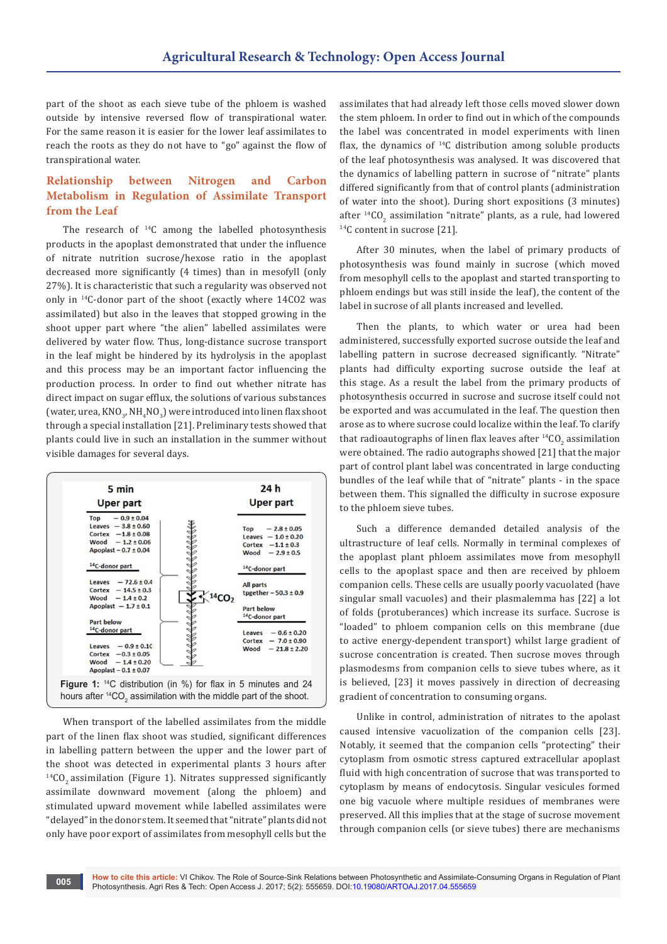part of the shoot as each sieve tube of the phloem is washed outside by intensive reversed flow of transpirational water. For the same reason it is easier for the lower leaf assimilates to reach the roots as they do not have to "go" against the flow of transpirational water.

# **Relationship between Nitrogen and Carbon Metabolism in Regulation of Assimilate Transport from the Leaf**

The research of  $14C$  among the labelled photosynthesis products in the apoplast demonstrated that under the influence of nitrate nutrition sucrose/hexose ratio in the apoplast decreased more significantly (4 times) than in mesofyll (only 27%). It is characteristic that such a regularity was observed not only in <sup>14</sup>С-donor part of the shoot (exactly where 14СО2 was assimilated) but also in the leaves that stopped growing in the shoot upper part where "the alien" labelled assimilates were delivered by water flow. Thus, long-distance sucrose transport in the leaf might be hindered by its hydrolysis in the apoplast and this process may be an important factor influencing the production process. In order to find out whether nitrate has direct impact on sugar efflux, the solutions of various substances (water, urea, KNO<sub>3</sub>, NH<sub>4</sub>NO<sub>3</sub>) were introduced into linen flax shoot through a special installation [21]. Preliminary tests showed that plants could live in such an installation in the summer without visible damages for several days.



When transport of the labelled assimilates from the middle part of the linen flax shoot was studied, significant differences in labelling pattern between the upper and the lower part of the shoot was detected in experimental plants 3 hours after  $14CO<sub>2</sub>$  assimilation (Figure 1). Nitrates suppressed significantly assimilate downward movement (along the phloem) and stimulated upward movement while labelled assimilates were "delayed" in the donor stem. It seemed that "nitrate" plants did not only have poor export of assimilates from mesophyll cells but the

assimilates that had already left those cells moved slower down the stem phloem. In order to find out in which of the compounds the label was concentrated in model experiments with linen flax, the dynamics of  $^{14}C$  distribution among soluble products of the leaf photosynthesis was analysed. It was discovered that the dynamics of labelling pattern in sucrose of "nitrate" plants differed significantly from that of control plants (administration of water into the shoot). During short expositions (3 minutes) after <sup>14</sup>CO<sub>2</sub> assimilation "nitrate" plants, as a rule, had lowered <sup>14</sup>С content in sucrose [21].

After 30 minutes, when the label of primary products of photosynthesis was found mainly in sucrose (which moved from mesophyll cells to the apoplast and started transporting to phloem endings but was still inside the leaf), the content of the label in sucrose of all plants increased and levelled.

Then the plants, to which water or urea had been administered, successfully exported sucrose outside the leaf and labelling pattern in sucrose decreased significantly. "Nitrate" plants had difficulty exporting sucrose outside the leaf at this stage. As a result the label from the primary products of photosynthesis occurred in sucrose and sucrose itself could not be exported and was accumulated in the leaf. The question then arose as to where sucrose could localize within the leaf. To clarify that radioautographs of linen flax leaves after  $^{14} \mathrm{CO}_2$  assimilation were obtained. The radio autographs showed [21] that the major part of control plant label was concentrated in large conducting bundles of the leaf while that of "nitrate" plants - in the space between them. This signalled the difficulty in sucrose exposure to the phloem sieve tubes.

Such a difference demanded detailed analysis of the ultrastructure of leaf cells. Normally in terminal complexes of the apoplast plant phloem assimilates move from mesophyll cells to the apoplast space and then are received by phloem companion cells. These cells are usually poorly vacuolated (have singular small vacuoles) and their plasmalemma has [22] a lot of folds (protuberances) which increase its surface. Sucrose is "loaded" to phloem companion cells on this membrane (due to active energy-dependent transport) whilst large gradient of sucrose concentration is created. Then sucrose moves through plasmodesms from companion cells to sieve tubes where, as it is believed, [23] it moves passively in direction of decreasing gradient of concentration to consuming organs.

Unlike in control, administration of nitrates to the apolast caused intensive vacuolization of the companion cells [23]. Notably, it seemed that the companion cells "protecting" their cytoplasm from osmotic stress captured extracellular apoplast fluid with high concentration of sucrose that was transported to cytoplasm by means of endocytosis. Singular vesicules formed one big vacuole where multiple residues of membranes were preserved. All this implies that at the stage of sucrose movement through companion cells (or sieve tubes) there are mechanisms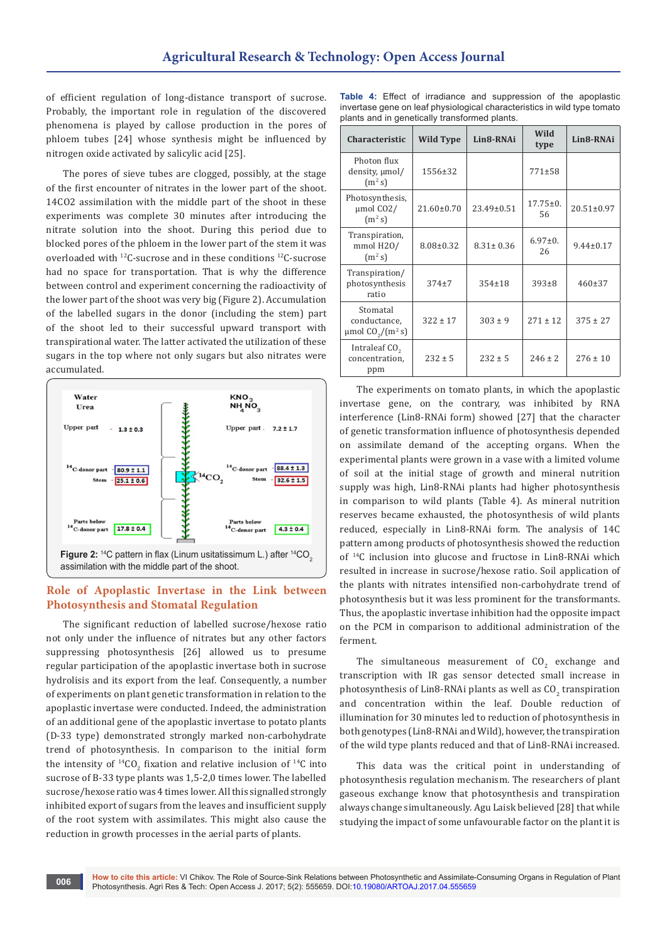of efficient regulation of long-distance transport of sucrose. Probably, the important role in regulation of the discovered phenomena is played by callose production in the pores of phloem tubes [24] whose synthesis might be influenced by nitrogen oxide activated by salicylic acid [25].

The pores of sieve tubes are clogged, possibly, at the stage of the first encounter of nitrates in the lower part of the shoot. 14СО2 assimilation with the middle part of the shoot in these experiments was complete 30 minutes after introducing the nitrate solution into the shoot. During this period due to blocked pores of the phloem in the lower part of the stem it was overloaded with <sup>12</sup>С-sucrose and in these conditions <sup>12</sup>С-sucrose had no space for transportation. That is why the difference between control and experiment concerning the radioactivity of the lower part of the shoot was very big (Figure 2). Accumulation of the labelled sugars in the donor (including the stem) part of the shoot led to their successful upward transport with transpirational water. The latter activated the utilization of these sugars in the top where not only sugars but also nitrates were accumulated.



#### **Role of Apoplastic Invertase in the Link between Photosynthesis and Stomatal Regulation**

The significant reduction of labelled sucrose/hexose ratio not only under the influence of nitrates but any other factors suppressing photosynthesis [26] allowed us to presume regular participation of the apoplastic invertase both in sucrose hydrolisis and its export from the leaf. Consequently, a number of experiments on plant genetic transformation in relation to the apoplastic invertase were conducted. Indeed, the administration of an additional gene of the apoplastic invertase to potato plants (D-33 type) demonstrated strongly marked non-carbohydrate trend of photosynthesis. In comparison to the initial form the intensity of <sup>14</sup>CO<sub>2</sub> fixation and relative inclusion of <sup>14</sup>C into sucrose of B-33 type plants was 1,5-2,0 times lower. The labelled sucrose/hexose ratio was 4 times lower. All this signalled strongly inhibited export of sugars from the leaves and insufficient supply of the root system with assimilates. This might also cause the reduction in growth processes in the aerial parts of plants.

|  |  |                                               | <b>Table 4:</b> Effect of irradiance and suppression of the apoplastic   |  |  |
|--|--|-----------------------------------------------|--------------------------------------------------------------------------|--|--|
|  |  |                                               | invertase gene on leaf physiological characteristics in wild type tomato |  |  |
|  |  | plants and in genetically transformed plants. |                                                                          |  |  |

| <b>Characteristic</b>                                                     | <b>Wild Type</b> | Lin8-RNAi       | Wild<br>type         | Lin8-RNAi        |
|---------------------------------------------------------------------------|------------------|-----------------|----------------------|------------------|
| Photon flux<br>density, $\mu$ mol/<br>(m <sup>2</sup> s)                  | 1556±32          |                 | 771±58               |                  |
| Photosynthesis,<br>$\mu$ mol CO2/<br>$(m^2 s)$                            | 21.60±0.70       | 23.49±0.51      | $17.75 \pm 0.$<br>56 | $20.51 \pm 0.97$ |
| Transpiration,<br>mmol H2O/<br>$(m^2 s)$                                  | $8.08 \pm 0.32$  | $8.31 \pm 0.36$ | $6.97 \pm 0.$<br>26  | $9.44 \pm 0.17$  |
| Transpiration/<br>photosynthesis<br>ratio                                 | $374+7$          | $354 \pm 18$    | $393 \pm 8$          | $460 \pm 37$     |
| Stomatal<br>conductance,<br>$\mu$ mol CO <sub>2</sub> /(m <sup>2</sup> s) | $322 \pm 17$     | $303 \pm 9$     | $271 \pm 12$         | $375 \pm 27$     |
| Intraleaf CO <sub>2</sub><br>concentration,<br>ppm                        | $232 \pm 5$      | $232 \pm 5$     | $246 \pm 2$          | $276 \pm 10$     |

The experiments on tomato plants, in which the apoplastic invertase gene, on the contrary, was inhibited by RNA interference (Lin8-RNAi form) showed [27] that the character of genetic transformation influence of photosynthesis depended on assimilate demand of the accepting organs. When the experimental plants were grown in a vase with a limited volume of soil at the initial stage of growth and mineral nutrition supply was high, Lin8-RNAi plants had higher photosynthesis in comparison to wild plants (Table 4). As mineral nutrition reserves became exhausted, the photosynthesis of wild plants reduced, especially in Lin8-RNAi form. The analysis of 14С pattern among products of photosynthesis showed the reduction of <sup>14</sup>С inclusion into glucose and fructose in Lin8-RNAi which resulted in increase in sucrose/hexose ratio. Soil application of the plants with nitrates intensified non-carbohydrate trend of photosynthesis but it was less prominent for the transformants. Thus, the apoplastic invertase inhibition had the opposite impact on the PCM in comparison to additional administration of the ferment.

The simultaneous measurement of  $CO_2$  exchange and transcription with IR gas sensor detected small increase in photosynthesis of Lin8-RNAi plants as well as  $\rm CO_{2}$  transpiration and concentration within the leaf. Double reduction of illumination for 30 minutes led to reduction of photosynthesis in both genotypes (Lin8-RNAi and Wild), however, the transpiration of the wild type plants reduced and that of Lin8-RNAi increased.

This data was the critical point in understanding of photosynthesis regulation mechanism. The researchers of plant gaseous exchange know that photosynthesis and transpiration always change simultaneously. Agu Laisk believed [28] that while studying the impact of some unfavourable factor on the plant it is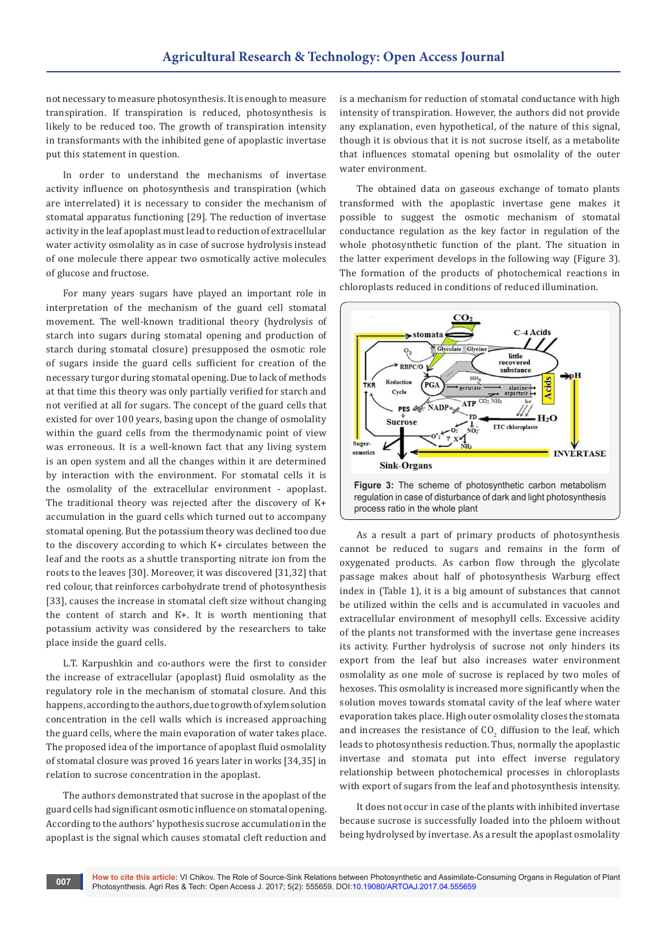not necessary to measure photosynthesis. It is enough to measure transpiration. If transpiration is reduced, photosynthesis is likely to be reduced too. The growth of transpiration intensity in transformants with the inhibited gene of apoplastic invertase put this statement in question.

In order to understand the mechanisms of invertase activity influence on photosynthesis and transpiration (which are interrelated) it is necessary to consider the mechanism of stomatal apparatus functioning [29]. The reduction of invertase activity in the leaf apoplast must lead to reduction of extracellular water activity osmolality as in case of sucrose hydrolysis instead of one molecule there appear two osmotically active molecules of glucose and fructose.

For many years sugars have played an important role in interpretation of the mechanism of the guard cell stomatal movement. The well-known traditional theory (hydrolysis of starch into sugars during stomatal opening and production of starch during stomatal closure) presupposed the osmotic role of sugars inside the guard cells sufficient for creation of the necessary turgor during stomatal opening. Due to lack of methods at that time this theory was only partially verified for starch and not verified at all for sugars. The concept of the guard cells that existed for over 100 years, basing upon the change of osmolality within the guard cells from the thermodynamic point of view was erroneous. It is a well-known fact that any living system is an open system and all the changes within it are determined by interaction with the environment. For stomatal cells it is the osmolality of the extracellular environment - apoplast. The traditional theory was rejected after the discovery of K+ accumulation in the guard cells which turned out to accompany stomatal opening. But the potassium theory was declined too due to the discovery according to which К+ circulates between the leaf and the roots as a shuttle transporting nitrate ion from the roots to the leaves [30]. Moreover, it was discovered [31,32] that red colour, that reinforces carbohydrate trend of photosynthesis [33], causes the increase in stomatal cleft size without changing the content of starch and К+. It is worth mentioning that potassium activity was considered by the researchers to take place inside the guard cells.

L.T. Karpushkin and co-authors were the first to consider the increase of extracellular (apoplast) fluid osmolality as the regulatory role in the mechanism of stomatal closure. And this happens, according to the authors, due to growth of xylem solution concentration in the cell walls which is increased approaching the guard cells, where the main evaporation of water takes place. The proposed idea of the importance of apoplast fluid osmolality of stomatal closure was proved 16 years later in works [34,35] in relation to sucrose concentration in the apoplast.

The authors demonstrated that sucrose in the apoplast of the guard cells had significant osmotic influence on stomatal opening. According to the authors' hypothesis sucrose accumulation in the apoplast is the signal which causes stomatal cleft reduction and is a mechanism for reduction of stomatal conductance with high intensity of transpiration. However, the authors did not provide any explanation, even hypothetical, of the nature of this signal, though it is obvious that it is not sucrose itself, as a metabolite that influences stomatal opening but osmolality of the outer water environment.

The obtained data on gaseous exchange of tomato plants transformed with the apoplastic invertase gene makes it possible to suggest the osmotic mechanism of stomatal conductance regulation as the key factor in regulation of the whole photosynthetic function of the plant. The situation in the latter experiment develops in the following way (Figure 3). The formation of the products of photochemical reactions in chloroplasts reduced in conditions of reduced illumination.



As a result a part of primary products of photosynthesis cannot be reduced to sugars and remains in the form of oxygenated products. As carbon flow through the glycolate passage makes about half of photosynthesis Warburg effect index in (Table 1), it is a big amount of substances that cannot be utilized within the cells and is accumulated in vacuoles and extracellular environment of mesophyll cells. Excessive acidity of the plants not transformed with the invertase gene increases its activity. Further hydrolysis of sucrose not only hinders its export from the leaf but also increases water environment osmolality as one mole of sucrose is replaced by two moles of hexoses. This osmolality is increased more significantly when the solution moves towards stomatal cavity of the leaf where water evaporation takes place. High outer osmolality closes the stomata and increases the resistance of  $CO_2$  diffusion to the leaf, which leads to photosynthesis reduction. Thus, normally the apoplastic invertase and stomata put into effect inverse regulatory relationship between photochemical processes in chloroplasts with export of sugars from the leaf and photosynthesis intensity.

It does not occur in case of the plants with inhibited invertase because sucrose is successfully loaded into the phloem without being hydrolysed by invertase. As a result the apoplast osmolality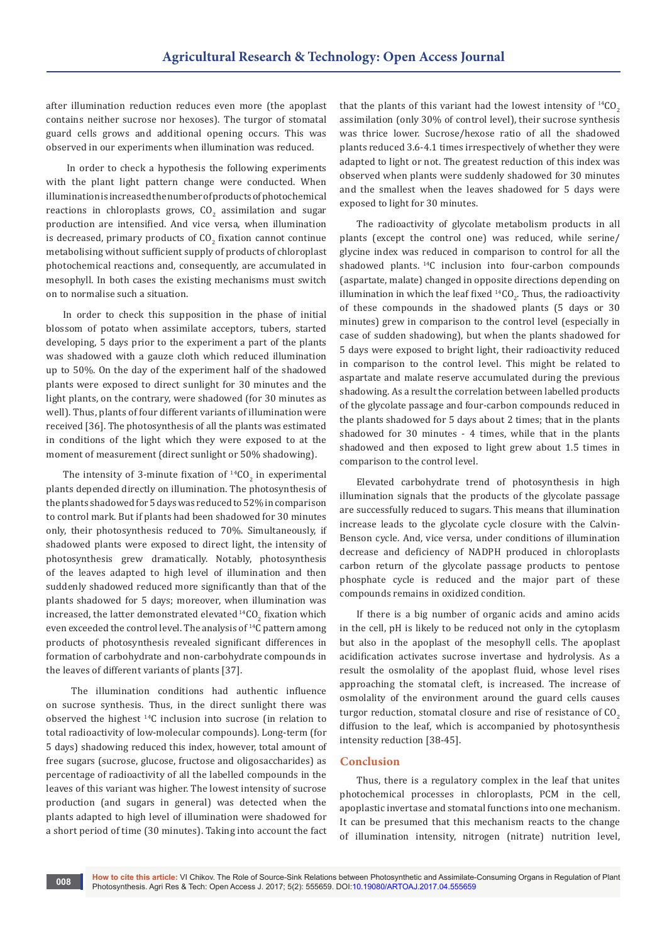after illumination reduction reduces even more (the apoplast contains neither sucrose nor hexoses). The turgor of stomatal guard cells grows and additional opening occurs. This was observed in our experiments when illumination was reduced.

 In order to check a hypothesis the following experiments with the plant light pattern change were conducted. When illumination is increased the number of products of photochemical reactions in chloroplasts grows,  $CO_2$  assimilation and sugar production are intensified. And vice versa, when illumination is decreased, primary products of  $\mathsf{CO}_2$  fixation cannot continue metabolising without sufficient supply of products of chloroplast photochemical reactions and, consequently, are accumulated in mesophyll. In both cases the existing mechanisms must switch on to normalise such a situation.

In order to check this supposition in the phase of initial blossom of potato when assimilate acceptors, tubers, started developing, 5 days prior to the experiment a part of the plants was shadowed with a gauze cloth which reduced illumination up to 50%. On the day of the experiment half of the shadowed plants were exposed to direct sunlight for 30 minutes and the light plants, on the contrary, were shadowed (for 30 minutes as well). Thus, plants of four different variants of illumination were received [36]. The photosynthesis of all the plants was estimated in conditions of the light which they were exposed to at the moment of measurement (direct sunlight or 50% shadowing).

The intensity of 3-minute fixation of  $^{14}CO_2$  in experimental plants depended directly on illumination. The photosynthesis of the plants shadowed for 5 days was reduced to 52% in comparison to control mark. But if plants had been shadowed for 30 minutes only, their photosynthesis reduced to 70%. Simultaneously, if shadowed plants were exposed to direct light, the intensity of photosynthesis grew dramatically. Notably, photosynthesis of the leaves adapted to high level of illumination and then suddenly shadowed reduced more significantly than that of the plants shadowed for 5 days; moreover, when illumination was increased, the latter demonstrated elevated  $^{14} \text{CO}_2$  fixation which even exceeded the control level. The analysis of <sup>14</sup>C pattern among products of photosynthesis revealed significant differences in formation of carbohydrate and non-carbohydrate compounds in the leaves of different variants of plants [37].

 The illumination conditions had authentic influence on sucrose synthesis. Thus, in the direct sunlight there was observed the highest <sup>14</sup>С inclusion into sucrose (in relation to total radioactivity of low-molecular compounds). Long-term (for 5 days) shadowing reduced this index, however, total amount of free sugars (sucrose, glucose, fructose and oligosaccharides) as percentage of radioactivity of all the labelled compounds in the leaves of this variant was higher. The lowest intensity of sucrose production (and sugars in general) was detected when the plants adapted to high level of illumination were shadowed for a short period of time (30 minutes). Taking into account the fact that the plants of this variant had the lowest intensity of  $^{14}CO<sub>2</sub>$ assimilation (only 30% of control level), their sucrose synthesis was thrice lower. Sucrose/hexose ratio of all the shadowed plants reduced 3.6-4.1 times irrespectively of whether they were adapted to light or not. The greatest reduction of this index was observed when plants were suddenly shadowed for 30 minutes and the smallest when the leaves shadowed for 5 days were exposed to light for 30 minutes.

The radioactivity of glycolate metabolism products in all plants (except the control one) was reduced, while serine/ glycine index was reduced in comparison to control for all the shadowed plants.<sup>14</sup>C inclusion into four-carbon compounds (aspartate, malate) changed in opposite directions depending on illumination in which the leaf fixed  $^{14}CO_{2}$ . Thus, the radioactivity of these compounds in the shadowed plants (5 days or 30 minutes) grew in comparison to the control level (especially in case of sudden shadowing), but when the plants shadowed for 5 days were exposed to bright light, their radioactivity reduced in comparison to the control level. This might be related to aspartate and malate reserve accumulated during the previous shadowing. As a result the correlation between labelled products of the glycolate passage and four-carbon compounds reduced in the plants shadowed for 5 days about 2 times; that in the plants shadowed for 30 minutes - 4 times, while that in the plants shadowed and then exposed to light grew about 1.5 times in comparison to the control level.

Elevated carbohydrate trend of photosynthesis in high illumination signals that the products of the glycolate passage are successfully reduced to sugars. This means that illumination increase leads to the glycolate cycle closure with the Calvin-Benson cycle. And, vice versa, under conditions of illumination decrease and deficiency of NADPH produced in chloroplasts carbon return of the glycolate passage products to pentose phosphate cycle is reduced and the major part of these compounds remains in oxidized condition.

If there is a big number of organic acids and amino acids in the cell, pH is likely to be reduced not only in the cytoplasm but also in the apoplast of the mesophyll cells. The apoplast acidification activates sucrose invertase and hydrolysis. As a result the osmolality of the apoplast fluid, whose level rises approaching the stomatal cleft, is increased. The increase of osmolality of the environment around the guard cells causes turgor reduction, stomatal closure and rise of resistance of  $CO<sub>2</sub>$ diffusion to the leaf, which is accompanied by photosynthesis intensity reduction [38-45].

#### **Conclusion**

Thus, there is a regulatory complex in the leaf that unites photochemical processes in chloroplasts, PCM in the cell, apoplastic invertase and stomatal functions into one mechanism. It can be presumed that this mechanism reacts to the change of illumination intensity, nitrogen (nitrate) nutrition level,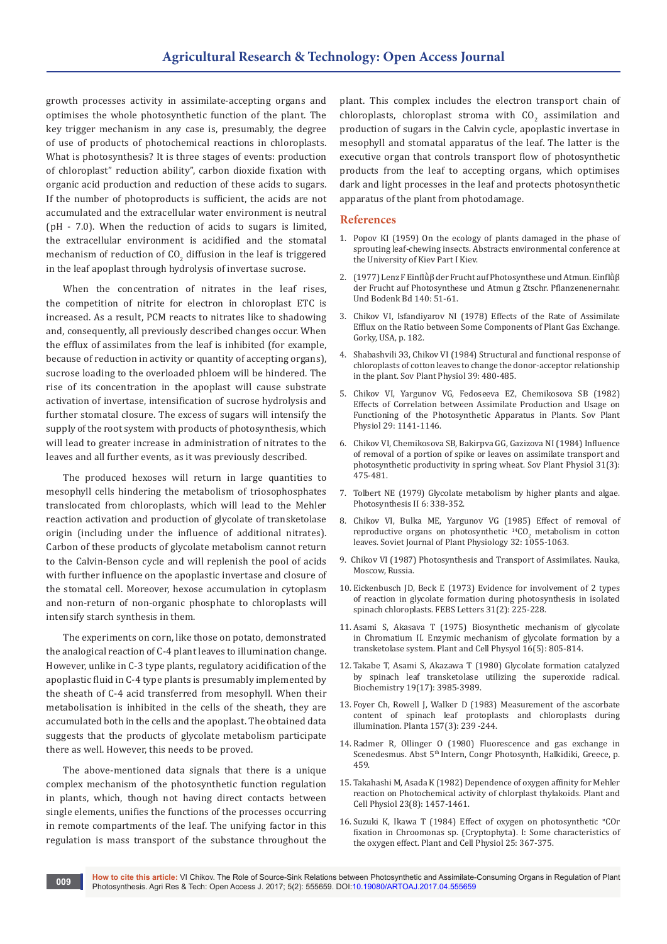growth processes activity in assimilate-accepting organs and optimises the whole photosynthetic function of the plant. The key trigger mechanism in any case is, presumably, the degree of use of products of photochemical reactions in chloroplasts. What is photosynthesis? It is three stages of events: production of chloroplast" reduction ability", carbon dioxide fixation with organic acid production and reduction of these acids to sugars. If the number of photoproducts is sufficient, the acids are not accumulated and the extracellular water environment is neutral (pH - 7.0). When the reduction of acids to sugars is limited, the extracellular environment is acidified and the stomatal mechanism of reduction of CO<sub>2</sub> diffusion in the leaf is triggered in the leaf apoplast through hydrolysis of invertase sucrose.

When the concentration of nitrates in the leaf rises, the competition of nitrite for electron in chloroplast ETC is increased. As a result, PCM reacts to nitrates like to shadowing and, consequently, all previously described changes occur. When the efflux of assimilates from the leaf is inhibited (for example, because of reduction in activity or quantity of accepting organs), sucrose loading to the overloaded phloem will be hindered. The rise of its concentration in the apoplast will cause substrate activation of invertase, intensification of sucrose hydrolysis and further stomatal closure. The excess of sugars will intensify the supply of the root system with products of photosynthesis, which will lead to greater increase in administration of nitrates to the leaves and all further events, as it was previously described.

The produced hexoses will return in large quantities to mesophyll cells hindering the metabolism of triosophosphates translocated from chloroplasts, which will lead to the Mehler reaction activation and production of glycolate of transketolase origin (including under the influence of additional nitrates). Carbon of these products of glycolate metabolism cannot return to the Calvin-Benson cycle and will replenish the pool of acids with further influence on the apoplastic invertase and closure of the stomatal cell. Moreover, hexose accumulation in cytoplasm and non-return of non-organic phosphate to chloroplasts will intensify starch synthesis in them.

The experiments on corn, like those on potato, demonstrated the analogical reaction of C-4 plant leaves to illumination change. However, unlike in C-3 type plants, regulatory acidification of the apoplastic fluid in C-4 type plants is presumably implemented by the sheath of C-4 acid transferred from mesophyll. When their metabolisation is inhibited in the cells of the sheath, they are accumulated both in the cells and the apoplast. The obtained data suggests that the products of glycolate metabolism participate there as well. However, this needs to be proved.

The above-mentioned data signals that there is a unique complex mechanism of the photosynthetic function regulation in plants, which, though not having direct contacts between single elements, unifies the functions of the processes occurring in remote compartments of the leaf. The unifying factor in this regulation is mass transport of the substance throughout the

plant. This complex includes the electron transport chain of chloroplasts, chloroplast stroma with  $\text{CO}_2$  assimilation and production of sugars in the Calvin cycle, apoplastic invertase in mesophyll and stomatal apparatus of the leaf. The latter is the executive organ that controls transport flow of photosynthetic products from the leaf to accepting organs, which optimises dark and light processes in the leaf and protects photosynthetic apparatus of the plant from photodamage.

#### **References**

- 1. Popov KI (1959) On the ecology of plants damaged in the phase of sprouting leaf-chewing insects. Abstracts environmental conference at the University of Kiev Part I Kiev.
- 2. (1977) Lenz F Einflǜβ der Frucht auf Photosynthese und Atmun. Einflǜβ der Frucht auf Photosynthese und Atmun g Ztschr. Pflanzenenernahr. Und Bodenk Bd 140: 51-61.
- 3. Chikov VI, Isfandiyarov NI (1978) Effects of the Rate of Assimilate Efflux on the Ratio between Some Components of Plant Gas Exchange. Gorky, USA, p. 182.
- 4. Shabashvili ЭЗ, Chikov VI (1984) Structural and functional response of chloroplasts of cotton leaves to change the donor-acceptor relationship in the plant. Sov Plant Physiol 39: 480-485.
- 5. Chikov VI, Yargunov VG, Fedoseeva EZ, Chemikosova SB (1982) Effects of Correlation between Assimilate Production and Usage on Functioning of the Photosynthetic Apparatus in Plants. Sov Plant Physiol 29: 1141-1146.
- 6. [Chikov VI, Chemikosova SB, Bakirpva GG, Gazizova NI \(1984\) Influence](https://eurekamag.com/research/005/690/005690876.php)  [of removal of a portion of spike or leaves on assimilate transport and](https://eurekamag.com/research/005/690/005690876.php)  [photosynthetic productivity in spring wheat. Sov Plant Physiol 31\(3\):](https://eurekamag.com/research/005/690/005690876.php)  [475-481.](https://eurekamag.com/research/005/690/005690876.php)
- 7. [Tolbert NE \(1979\) Glycolate metabolism by higher plants and algae.](https://link.springer.com/chapter/10.1007%2F978-3-642-67242-2_27)  [Photosynthesis II 6: 338-352.](https://link.springer.com/chapter/10.1007%2F978-3-642-67242-2_27)
- 8. Chikov VI, Bulka ME, Yargunov VG (1985) Effect of removal of reproductive organs on photosynthetic  $^{14}CO_2$  metabolism in cotton leaves. Soviet Journal of Plant Physiology 32: 1055-1063.
- 9. Chikov VI (1987) Photosynthesis and Transport of Assimilates. Nauka, Moscow, Russia.
- 10. [Eickenbusch JD, Beck E \(1973\) Evidence for involvement of 2 types](http://www.sciencedirect.com/science/article/pii/0014579373801097)  [of reaction in glycolate formation during photosynthesis in isolated](http://www.sciencedirect.com/science/article/pii/0014579373801097)  [spinach chloroplasts. FEBS Letters 31\(2\): 225-228.](http://www.sciencedirect.com/science/article/pii/0014579373801097)
- 11. [Asami S, Akasava T \(1975\) Biosynthetic mechanism of glycolate](https://academic.oup.com/pcp/article-abstract/16/5/805/1873166/Biosynthetic-mechanism-of-glycolate-in-Chromatium)  [in Chromatium II. Enzymic mechanism of glycolate formation by a](https://academic.oup.com/pcp/article-abstract/16/5/805/1873166/Biosynthetic-mechanism-of-glycolate-in-Chromatium)  [transketolase system. Plant and Cell Physyol 16\(5\): 805-814.](https://academic.oup.com/pcp/article-abstract/16/5/805/1873166/Biosynthetic-mechanism-of-glycolate-in-Chromatium)
- 12. [Takabe Т, Asami S, Akazawa T \(1980\) Glycolate formation catalyzed](https://www.ncbi.nlm.nih.gov/pubmed/6250580)  [by spinach leaf transketolase utilizing the superoxide radical.](https://www.ncbi.nlm.nih.gov/pubmed/6250580)  [Biochemistry 19\(17\): 3985-3989.](https://www.ncbi.nlm.nih.gov/pubmed/6250580)
- 13. [Foyer Ch, Rowell J, Walker D \(1983\) Measurement of the ascorbate](https://link.springer.com/article/10.1007/BF00405188)  [content of spinach leaf protoplasts and chloroplasts during](https://link.springer.com/article/10.1007/BF00405188)  [illumination. Planta 157\(3\): 239 -244.](https://link.springer.com/article/10.1007/BF00405188)
- 14. Radmer R, Ollinger O (1980) Fluorescence and gas exchange in Scenedesmus. Abst 5<sup>th</sup> Intern, Congr Photosynth, Halkidiki, Greece, p. 459.
- 15. [Takahashi M, Asada K \(1982\) Dependence of oxygen affinity for Mehler](https://academic.oup.com/pcp/article/23/8/1457/1857995/Dependence-of-Oxygen-Affinity-for-Mehler-Reaction)  [reaction on Photochemical activity of chlorplast thylakoids. Plant and](https://academic.oup.com/pcp/article/23/8/1457/1857995/Dependence-of-Oxygen-Affinity-for-Mehler-Reaction)  [Cell Physiol 23\(8\): 1457-1461.](https://academic.oup.com/pcp/article/23/8/1457/1857995/Dependence-of-Oxygen-Affinity-for-Mehler-Reaction)
- 16. Suzuki K, Ikawa T (1984) Effect of oxygen on photosynthetic "СОг fixation in Chroomonas sp. (Cryptophyta). I: Some characteristics of the oxygen effect. Plant and Cell Physiol 25: 367-375.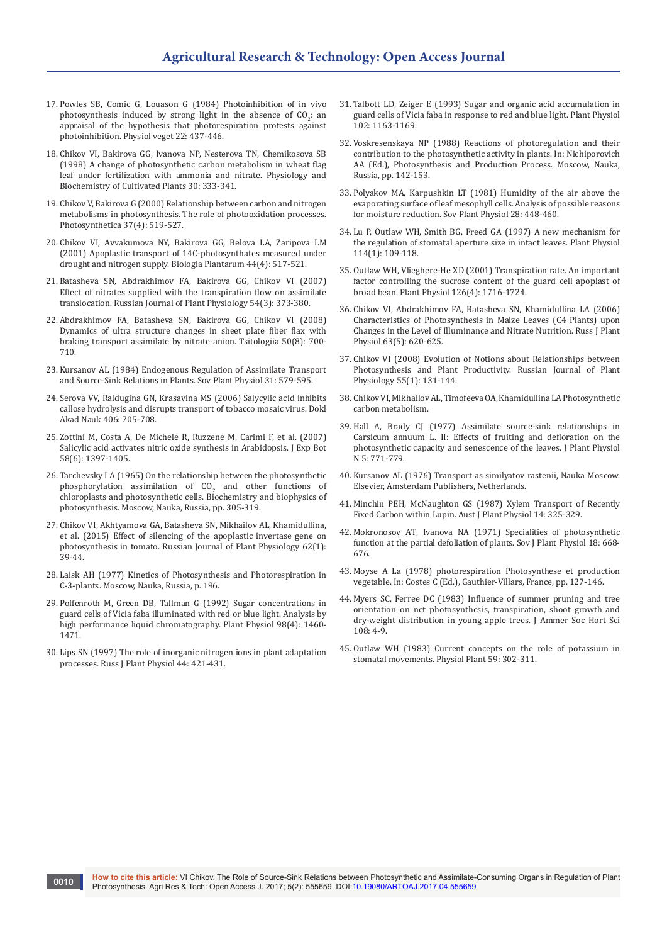- 17. Powles SВ, Comic G, Louason G (1984) Photoinhibition of in vivo photosynthesis induced by strong light in the absence of  $CO_2$ : an appraisal of the hypothesis that photorespiration protests against photoinhibition. Physiol veget 22: 437-446.
- 18. Chikov VI, Bakirova GG, Ivanova NP, Nesterova TN, Chemikosova SB (1998) A change of photosynthetic carbon metabolism in wheat flag leaf under fertilization with ammonia and nitrate. Physiology and Biochemistry of Cultivated Plants 30: 333-341.
- 19. [Chikov V, Bakirova G \(2000\) Relationship between carbon and nitrogen](https://link.springer.com/article/10.1023/A:1007150921664)  [metabolisms in photosynthesis. The role of photooxidation processes.](https://link.springer.com/article/10.1023/A:1007150921664)  [Photosynthetica 37\(4\): 519-527.](https://link.springer.com/article/10.1023/A:1007150921664)
- 20. [Chikov VI, Avvakumova NY, Bakirova GG, Belova LA, Zaripova LM](https://link.springer.com/article/10.1023/A:1013778201203)  [\(2001\) Apoplastic transport of 14C-photosynthates measured under](https://link.springer.com/article/10.1023/A:1013778201203)  [drought and nitrogen supply. Biologia Plantarum 44\(4\): 517-521.](https://link.springer.com/article/10.1023/A:1013778201203)
- 21. [Batasheva SN, Abdrakhimov FA, Bakirova GG, Chikov VI \(2007\)](https://link.springer.com/article/10.1134/S1021443707030120)  [Effect of nitrates supplied with the transpiration flow on assimilate](https://link.springer.com/article/10.1134/S1021443707030120)  [translocation. Russian Journal of Plant Physiology 54\(3\): 373-380.](https://link.springer.com/article/10.1134/S1021443707030120)
- 22. [Abdrakhimov FA, Batasheva SN, Bakirova GG, Chikov VI \(2008\)](https://www.ncbi.nlm.nih.gov/pubmed/18822790)  [Dynamics of ultra structure changes in sheet plate fiber flax with](https://www.ncbi.nlm.nih.gov/pubmed/18822790)  [braking transport assimilate by nitrate-anion. Tsitologiia 50\(8\): 700-](https://www.ncbi.nlm.nih.gov/pubmed/18822790) [710.](https://www.ncbi.nlm.nih.gov/pubmed/18822790)
- 23. Kursanov AL (1984) Endogenous Regulation of Assimilate Transport and Source-Sink Relations in Plants. Sov Plant Physiol 31: 579-595.
- 24. Serova VV, Raldugina GN, Krasavina MS (2006) Salycylic acid inhibits callose hydrolysis and disrupts transport of tobacco mosaic virus. Dokl Akad Nauk 406: 705-708.
- 25. [Zottini M, Costa A, De Michele R, Ruzzene M, Carimi F, et al. \(2007\)](https://academic.oup.com/jxb/article/58/6/1397/542451/Salicylic-acid-activates-nitric-oxide-synthesis-in)  [Salicylic acid activates nitric oxide synthesis in Arabidopsis. J Exp Bot](https://academic.oup.com/jxb/article/58/6/1397/542451/Salicylic-acid-activates-nitric-oxide-synthesis-in)  [58\(6\): 1397-1405.](https://academic.oup.com/jxb/article/58/6/1397/542451/Salicylic-acid-activates-nitric-oxide-synthesis-in)
- 26. Tarchevsky I А (1965) On the relationship between the photosynthetic phosphorylation assimilation of  $CO<sub>2</sub>$  and other functions of chloroplasts and photosynthetic cells. Biochemistry and biophysics of photosynthesis. Moscow, Nauka, Russia, pp. 305-319.
- 27. [Chikov VI, Akhtyamova GA, Batasheva SN, Mikhailov AL, Khamidullina,](https://link.springer.com/article/10.1134/S1021443715010045)  [et al. \(2015\) Effect of silencing of the apoplastic invertase gene on](https://link.springer.com/article/10.1134/S1021443715010045)  [photosynthesis in tomato. Russian Journal of Plant Physiology 62\(1\):](https://link.springer.com/article/10.1134/S1021443715010045)  [39-44.](https://link.springer.com/article/10.1134/S1021443715010045)
- 28. Laisk AH (1977) Kinetics of Photosynthesis and Photorespiration in C-3-plants. Moscow, Nauka, Russia, p. 196.
- 29. [Poffenroth M, Green DB, Tallman G \(1992\) Sugar concentrations in](https://www.ncbi.nlm.nih.gov/pubmed/16668815)  [guard cells of Vicia faba illuminated with red or blue light. Analysis by](https://www.ncbi.nlm.nih.gov/pubmed/16668815)  [high performance liquid chromatography. Plant Physiol 98\(4\): 1460-](https://www.ncbi.nlm.nih.gov/pubmed/16668815) [1471.](https://www.ncbi.nlm.nih.gov/pubmed/16668815)
- 30. Lips SN (1997) The role of inorganic nitrogen ions in plant adaptation processes. Russ J Plant Physiol 44: 421-431.
- 31. [Talbott LD, Zeiger E \(1993\) Sugar and organic acid accumulation in](https://www.ncbi.nlm.nih.gov/pubmed/12231893)  [guard cells of Vicia faba in response to red and blue light. Plant Physiol](https://www.ncbi.nlm.nih.gov/pubmed/12231893)  [102: 1163-1169.](https://www.ncbi.nlm.nih.gov/pubmed/12231893)
- 32. Voskresenskaya NP (1988) Reactions of photoregulation and their contribution to the photosynthetic activity in plants. In: Nichiporovich AA (Ed.), Photosynthesis and Production Process. Moscow, Nauka, Russia, pp. 142-153.
- 33. Polyakov MA, Karpushkin LT (1981) Humidity of the air above the evaporating surface of leaf mesophyll cells. Analysis of possible reasons for moisture reduction. Sov Plant Physiol 28: 448-460.
- 34. [Lu P, Outlaw WH, Smith BG, Freed GA \(1997\) A new mechanism for](https://www.ncbi.nlm.nih.gov/pmc/articles/PMC158284/)  [the regulation of stomatal aperture size in intact leaves. Plant Physiol](https://www.ncbi.nlm.nih.gov/pmc/articles/PMC158284/)  [114\(1\): 109-118.](https://www.ncbi.nlm.nih.gov/pmc/articles/PMC158284/)
- 35. [Outlaw WH, Vlieghere-He XD \(2001\) Transpiration rate. An important](https://www.ncbi.nlm.nih.gov/pubmed/11500569)  [factor controlling the sucrose content of the guard cell apoplast of](https://www.ncbi.nlm.nih.gov/pubmed/11500569)  [broad bean. Plant Physiol 126\(4\): 1716-1724.](https://www.ncbi.nlm.nih.gov/pubmed/11500569)
- 36. [Chikov VI, Abdrakhimov FA, Batasheva SN, Khamidullina LA \(2006\)](https://link.springer.com/article/10.1134/S1021443716050034)  [Characteristics of Photosynthesis in Maize Leaves \(С4 Plants\) upon](https://link.springer.com/article/10.1134/S1021443716050034)  [Changes in the Level of Illuminance and Nitrate Nutrition. Russ J Plant](https://link.springer.com/article/10.1134/S1021443716050034)  [Physiol 63\(5\): 620-625.](https://link.springer.com/article/10.1134/S1021443716050034)
- 37. [Chikov VI \(2008\) Evolution of Notions about Relationships between](https://link.springer.com/article/10.1134/S1021443708010160)  [Photosynthesis and Plant Productivity. Russian Journal of Plant](https://link.springer.com/article/10.1134/S1021443708010160)  [Physiology 55\(1\): 131-144.](https://link.springer.com/article/10.1134/S1021443708010160)
- 38. Chikov VI, Mikhailov AL, Timofeeva OA, Khamidullina LA Photosynthetic carbon metabolism.
- 39. Hall A, Brady CJ (1977) Assimilate source-sink relationships in Carsicum annuum L. II: Effects of fruiting and defloration on the photosynthetic capacity and senescence of the leaves. J Plant Physiol N 5: 771-779.
- 40. Kursanov AL (1976) Transport as similyatov rastenii, Nauka Moscow. Elsevier, Amsterdam Publishers, Netherlands.
- 41. Minchin PEH, McNaughton GS (1987) Xylem Transport of Recently Fixed Carbon within Lupin. Aust J Plant Physiol 14: 325-329.
- 42. Mokronosov АТ, Ivanova NА (1971) Specialities of photosynthetic function at the partial defoliation of plants. Sov J Plant Physiol 18: 668- 676.
- 43. Moyse A La (1978) photorespiration Photosynthese et production vegetable. In: Costes С (Ed.), Gauthier-Villars, France, pp. 127-146.
- 44. Myers SC, Ferree DC (1983) Influence of summer pruning and tree orientation on net photosynthesis, transpiration, shoot growth and dry-weight distribution in young apple trees. J Ammer Soc Hort Sci 108: 4-9.
- 45. [Outlaw WH \(1983\) Current concepts on the role of potassium in](http://onlinelibrary.wiley.com/doi/10.1111/j.1399-3054.1983.tb00775.x/abstract?systemMessage=Wiley+Online+Library+will+be+unavailable+on+Saturday+25th+March+from+07%3A00+GMT+%2F+03%3A00+EDT+%2F+15%3A00+SGT+for+4+hours+for+essential+maintenance.++Apologies+)  [stomatal movements. Physiol Plant 59: 302-311.](http://onlinelibrary.wiley.com/doi/10.1111/j.1399-3054.1983.tb00775.x/abstract?systemMessage=Wiley+Online+Library+will+be+unavailable+on+Saturday+25th+March+from+07%3A00+GMT+%2F+03%3A00+EDT+%2F+15%3A00+SGT+for+4+hours+for+essential+maintenance.++Apologies+)